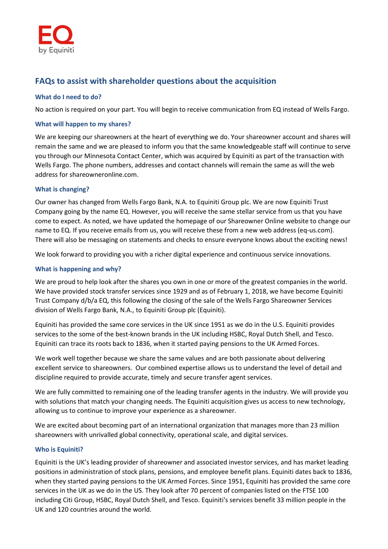# **FAQs to assist with shareholder questions about the acquisition**

## **What do I need to do?**

No action is required on your part. You will begin to receive communication from EQ instead of Wells Fargo.

#### **What will happen to my shares?**

We are keeping our shareowners at the heart of everything we do. Your shareowner account and shares will remain the same and we are pleased to inform you that the same knowledgeable staff will continue to serve you through our Minnesota Contact Center, which was acquired by Equiniti as part of the transaction with Wells Fargo. The phone numbers, addresses and contact channels will remain the same as will the web address for shareowneronline.com.

# **What is changing?**

Our owner has changed from Wells Fargo Bank, N.A. to Equiniti Group plc. We are now Equiniti Trust Company going by the name EQ. However, you will receive the same stellar service from us that you have come to expect. As noted, we have updated the homepage of our Shareowner Online website to change our name to EQ. If you receive emails from us, you will receive these from a new web address (eq-us.com). There will also be messaging on statements and checks to ensure everyone knows about the exciting news!

We look forward to providing you with a richer digital experience and continuous service innovations.

# **What is happening and why?**

We are proud to help look after the shares you own in one or more of the greatest companies in the world. We have provided stock transfer services since 1929 and as of February 1, 2018, we have become Equiniti Trust Company d/b/a EQ, this following the closing of the sale of the Wells Fargo Shareowner Services division of Wells Fargo Bank, N.A., to Equiniti Group plc (Equiniti).

Equiniti has provided the same core services in the UK since 1951 as we do in the U.S. Equiniti provides services to the some of the best-known brands in the UK including HSBC, Royal Dutch Shell, and Tesco. Equiniti can trace its roots back to 1836, when it started paying pensions to the UK Armed Forces.

We work well together because we share the same values and are both passionate about delivering excellent service to shareowners. Our combined expertise allows us to understand the level of detail and discipline required to provide accurate, timely and secure transfer agent services.

We are fully committed to remaining one of the leading transfer agents in the industry. We will provide you with solutions that match your changing needs. The Equiniti acquisition gives us access to new technology, allowing us to continue to improve your experience as a shareowner.

We are excited about becoming part of an international organization that manages more than 23 million shareowners with unrivalled global connectivity, operational scale, and digital services.

#### **Who is Equiniti?**

Equiniti is the UK's leading provider of shareowner and associated investor services, and has market leading positions in administration of stock plans, pensions, and employee benefit plans. Equiniti dates back to 1836, when they started paying pensions to the UK Armed Forces. Since 1951, Equiniti has provided the same core services in the UK as we do in the US. They look after 70 percent of companies listed on the FTSE 100 including Citi Group, HSBC, Royal Dutch Shell, and Tesco. Equiniti's services benefit 33 million people in the UK and 120 countries around the world.